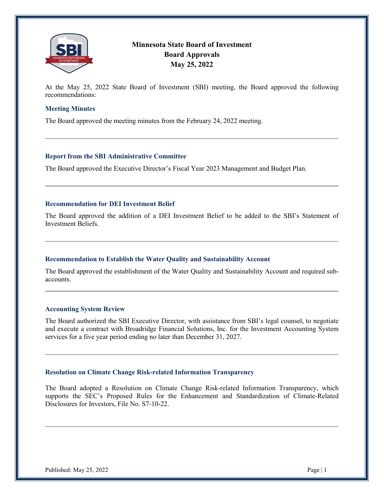

# **Minnesota State Board of Investment Board Approvals May 25, 2022**

At the May 25, 2022 State Board of Investment (SBI) meeting, the Board approved the following recommendations:

## **Meeting Minutes**

The Board approved the meeting minutes from the February 24, 2022 meeting.

### **Report from the SBI Administrative Committee**

The Board approved the Executive Director's Fiscal Year 2023 Management and Budget Plan.

## **Recommendation for DEI Investment Belief**

The Board approved the addition of a DEI Investment Belief to be added to the SBI's Statement of Investment Beliefs.

#### **Recommendation to Establish the Water Quality and Sustainability Account**

The Board approved the establishment of the Water Quality and Sustainability Account and required subaccounts.

#### **Accounting System Review**

The Board authorized the SBI Executive Director, with assistance from SBI's legal counsel, to negotiate and execute a contract with Broadridge Financial Solutions, Inc. for the Investment Accounting System services for a five year period ending no later than December 31, 2027.

#### **Resolution on Climate Change Risk-related Information Transparency**

The Board adopted a Resolution on Climate Change Risk-related Information Transparency, which supports the SEC's Proposed Rules for the Enhancement and Standardization of Climate-Related Disclosures for Investors, File No. S7-10-22.